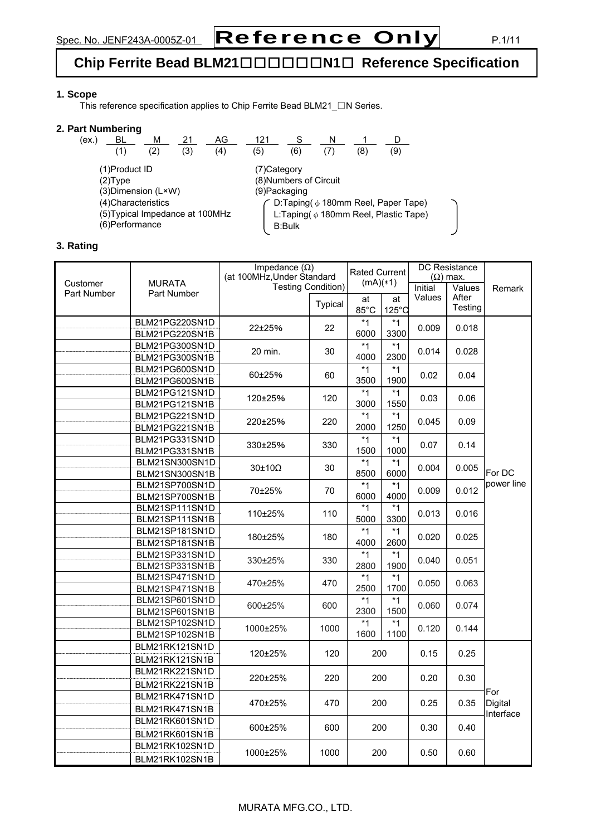# **Chip Ferrite Bead BLM21**□□□□□□**N1**□ **Reference Specification**

# **1. Scope**

This reference specification applies to Chip Ferrite Bead BLM21\_□N Series.

#### **2. Part Numbering**

| (ex.)                                                                     | BL  | М   |     | AG            | 121           |                        |                                                                                        |    |     |  |
|---------------------------------------------------------------------------|-----|-----|-----|---------------|---------------|------------------------|----------------------------------------------------------------------------------------|----|-----|--|
|                                                                           | (1) | (2) | (3) | (4)           | (5)           | (6)                    |                                                                                        | ΄8 | (9) |  |
| (1)Product ID<br>$(2)$ Type                                               |     |     |     |               | (7) Category  | (8) Numbers of Circuit |                                                                                        |    |     |  |
| (3) Dimension (L×W)                                                       |     |     |     | (9) Packaging |               |                        |                                                                                        |    |     |  |
| (4) Characteristics<br>(5) Typical Impedance at 100MHz<br>(6) Performance |     |     |     |               | <b>B:Bulk</b> |                        | D:Taping( $\phi$ 180mm Reel, Paper Tape)<br>L:Taping( $\phi$ 180mm Reel, Plastic Tape) |    |     |  |

# **3. Rating**

|             |                | Impedance $(\Omega)$<br>(at 100MHz, Under Standard |                           | <b>Rated Current</b> |                 | DC Resistance<br>$(\Omega)$ max. |         |                      |
|-------------|----------------|----------------------------------------------------|---------------------------|----------------------|-----------------|----------------------------------|---------|----------------------|
| Customer    | <b>MURATA</b>  |                                                    | <b>Testing Condition)</b> |                      | $(mA)(*1)$      |                                  | Values  | Remark               |
| Part Number | Part Number    |                                                    |                           | at                   | at              | Initial<br>Values                | After   |                      |
|             |                |                                                    | Typical                   | 85°C                 | $125^{\circ}$ C |                                  | Testing |                      |
|             | BLM21PG220SN1D |                                                    | 22                        | $*1$                 | $*1$            | 0.009                            | 0.018   |                      |
|             | BLM21PG220SN1B | 22±25%                                             |                           | 6000                 | 3300            |                                  |         |                      |
|             | BLM21PG300SN1D | 20 min.                                            | 30                        | $*1$                 | $*1$            | 0.014                            | 0.028   |                      |
|             | BLM21PG300SN1B |                                                    |                           | 4000                 | 2300            |                                  |         |                      |
|             | BLM21PG600SN1D | 60±25%                                             | 60                        | $*1$                 | *1              | 0.02                             | 0.04    |                      |
|             | BLM21PG600SN1B |                                                    |                           | 3500                 | 1900            |                                  |         |                      |
|             | BLM21PG121SN1D | 120±25%                                            | 120                       | $*1$                 | $*1$            | 0.03                             | 0.06    |                      |
|             | BLM21PG121SN1B |                                                    |                           | 3000                 | 1550            |                                  |         |                      |
|             | BLM21PG221SN1D | 220±25%                                            | 220                       | $*1$                 | $*1$            | 0.045                            | 0.09    |                      |
|             | BLM21PG221SN1B |                                                    |                           | 2000                 | 1250            |                                  |         |                      |
|             | BLM21PG331SN1D | 330±25%                                            | 330                       | $*1$                 | $*1$            | 0.07                             | 0.14    |                      |
|             | BLM21PG331SN1B |                                                    |                           | 1500                 | 1000            |                                  |         |                      |
|             | BLM21SN300SN1D | $30\pm10\Omega$                                    | 30                        | $*1$                 | $*1$            | 0.004                            | 0.005   | For DC<br>power line |
|             | BLM21SN300SN1B |                                                    |                           | 8500                 | 6000            |                                  |         |                      |
|             | BLM21SP700SN1D | 70±25%                                             | 70                        | $*1$                 | $*1$            | 0.009                            | 0.012   |                      |
|             | BLM21SP700SN1B |                                                    |                           | 6000                 | 4000            |                                  |         |                      |
|             | BLM21SP111SN1D | 110±25%                                            | 110                       | $*1$                 | *1              | 0.013                            | 0.016   |                      |
|             | BLM21SP111SN1B |                                                    |                           | 5000                 | 3300            |                                  |         |                      |
|             | BLM21SP181SN1D | 180±25%                                            | 180                       | $*1$                 | *1              | 0.020                            | 0.025   |                      |
|             | BLM21SP181SN1B |                                                    |                           | 4000                 | 2600            |                                  |         |                      |
|             | BLM21SP331SN1D | 330±25%                                            | 330                       | $*1$                 | $*1$            | 0.040                            | 0.051   |                      |
|             | BLM21SP331SN1B |                                                    |                           | 2800                 | 1900            |                                  |         |                      |
|             | BLM21SP471SN1D | 470±25%                                            | 470                       | $*1$                 | $*1$            | 0.050                            | 0.063   |                      |
|             | BLM21SP471SN1B |                                                    |                           | 2500                 | 1700            |                                  |         |                      |
|             | BLM21SP601SN1D | 600±25%                                            | 600                       | $*1$                 | $*1$            | 0.060                            | 0.074   |                      |
|             | BLM21SP601SN1B |                                                    |                           | 2300                 | 1500            |                                  |         |                      |
|             | BLM21SP102SN1D | 1000±25%                                           | 1000                      | $*1$                 | $*1$            | 0.120                            | 0.144   |                      |
|             | BLM21SP102SN1B |                                                    |                           | 1600                 | 1100            |                                  |         |                      |
|             | BLM21RK121SN1D | 120±25%                                            | 120                       | 200                  |                 | 0.15                             | 0.25    |                      |
|             | BLM21RK121SN1B |                                                    |                           |                      |                 |                                  |         |                      |
|             | BLM21RK221SN1D | 220±25%                                            | 220                       | 200                  |                 | 0.20                             | 0.30    |                      |
|             | BLM21RK221SN1B |                                                    |                           |                      |                 |                                  |         |                      |
|             | BLM21RK471SN1D |                                                    | 470                       |                      |                 | 0.25                             |         | For                  |
|             | BLM21RK471SN1B | 470±25%                                            |                           | 200                  |                 |                                  | 0.35    | Digital<br>Interface |
|             | BLM21RK601SN1D |                                                    |                           |                      |                 |                                  |         |                      |
|             | BLM21RK601SN1B | 600±25%                                            | 600                       | 200                  |                 | 0.30                             | 0.40    |                      |
|             | BLM21RK102SN1D |                                                    |                           |                      |                 |                                  |         |                      |
|             | BLM21RK102SN1B | 1000±25%                                           | 1000                      | 200                  |                 | 0.50                             | 0.60    |                      |

# MURATA MFG.CO., LTD.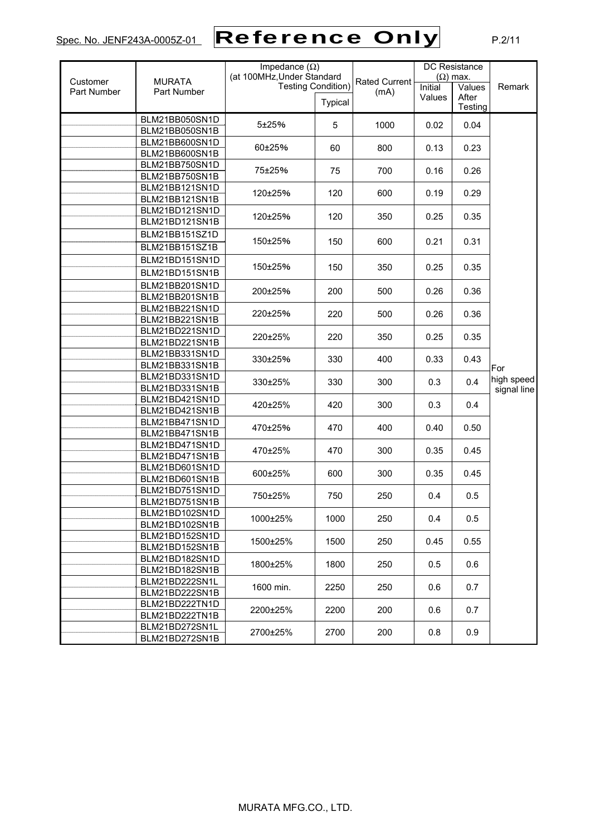# Spec. No. JENF243A-0005Z-01 P.2/11 Reference Only

| Customer<br>Part Number | <b>MURATA</b><br>Part Number     | Impedance $(\Omega)$<br>(at 100MHz, Under Standard<br><b>Testing Condition)</b> |         | <b>Rated Current</b><br>(mA) | <b>DC</b> Resistance<br>$(\Omega)$ max.<br>$\overline{\text{Initial}}$<br>Values |                  | Remark      |
|-------------------------|----------------------------------|---------------------------------------------------------------------------------|---------|------------------------------|----------------------------------------------------------------------------------|------------------|-------------|
|                         |                                  |                                                                                 | Typical |                              | Values                                                                           | After<br>Testing |             |
|                         | BLM21BB050SN1D                   | 5±25%                                                                           | 5       | 1000                         | 0.02                                                                             | 0.04             |             |
|                         | BLM21BB050SN1B<br>BLM21BB600SN1D |                                                                                 |         |                              |                                                                                  |                  |             |
|                         | BLM21BB600SN1B                   | 60±25%                                                                          | 60      | 800                          | 0.13                                                                             | 0.23             |             |
|                         | BLM21BB750SN1D                   |                                                                                 |         |                              |                                                                                  |                  |             |
|                         | BLM21BB750SN1B                   | 75±25%                                                                          | 75      | 700                          | 0.16                                                                             | 0.26             |             |
|                         | BLM21BB121SN1D                   |                                                                                 |         |                              |                                                                                  |                  |             |
|                         | BLM21BB121SN1B                   | 120±25%                                                                         | 120     | 600                          | 0.19                                                                             | 0.29             |             |
|                         | BLM21BD121SN1D                   |                                                                                 |         |                              |                                                                                  |                  |             |
|                         | BLM21BD121SN1B                   | 120±25%                                                                         | 120     | 350                          | 0.25                                                                             | 0.35             |             |
|                         | BLM21BB151SZ1D                   |                                                                                 |         |                              |                                                                                  |                  |             |
|                         | BLM21BB151SZ1B                   | 150±25%                                                                         | 150     | 600                          | 0.21                                                                             | 0.31             |             |
|                         | BLM21BD151SN1D                   |                                                                                 |         |                              |                                                                                  |                  |             |
|                         | BLM21BD151SN1B                   | 150±25%                                                                         | 150     | 350                          | 0.25                                                                             | 0.35             |             |
|                         | BLM21BB201SN1D                   |                                                                                 |         |                              |                                                                                  |                  |             |
|                         | BLM21BB201SN1B                   | 200±25%                                                                         | 200     | 500                          | 0.26                                                                             | 0.36             |             |
|                         | BLM21BB221SN1D                   |                                                                                 |         |                              |                                                                                  |                  |             |
|                         | BLM21BB221SN1B                   | 220±25%                                                                         | 220     | 500                          | 0.26                                                                             | 0.36             |             |
|                         | BLM21BD221SN1D                   |                                                                                 |         |                              |                                                                                  |                  |             |
|                         | BLM21BD221SN1B                   | 220±25%                                                                         | 220     | 350                          | 0.25                                                                             | 0.35             |             |
|                         | BLM21BB331SN1D                   | 330±25%                                                                         | 330     | 400                          | 0.33                                                                             | 0.43             |             |
|                         | BLM21BB331SN1B                   |                                                                                 |         |                              |                                                                                  |                  | For         |
|                         | BLM21BD331SN1D                   | 330±25%                                                                         | 330     | 300                          | 0.3                                                                              | 0.4              | high speed  |
|                         | BLM21BD331SN1B                   |                                                                                 |         |                              |                                                                                  |                  | signal line |
|                         | BLM21BD421SN1D                   | 420±25%                                                                         | 420     | 300                          | 0.3                                                                              | 0.4              |             |
|                         | BLM21BD421SN1B                   |                                                                                 |         |                              |                                                                                  |                  |             |
|                         | BLM21BB471SN1D<br>BLM21BB471SN1B | 470±25%                                                                         | 470     | 400                          | 0.40                                                                             | 0.50             |             |
|                         | BLM21BD471SN1D                   |                                                                                 |         |                              |                                                                                  |                  |             |
|                         | BLM21BD471SN1B                   | 470±25%                                                                         | 470     | 300                          | 0.35                                                                             | 0.45             |             |
|                         | BLM21BD601SN1D                   |                                                                                 |         |                              |                                                                                  |                  |             |
|                         | BLM21BD601SN1B                   | 600±25%                                                                         | 600     | 300                          | 0.35                                                                             | 0.45             |             |
|                         | BLM21BD751SN1D                   |                                                                                 |         |                              |                                                                                  |                  |             |
|                         | BLM21BD751SN1B                   | 750±25%                                                                         | 750     | 250                          | 0.4                                                                              | 0.5              |             |
|                         | BLM21BD102SN1D                   |                                                                                 |         |                              |                                                                                  |                  |             |
|                         | BLM21BD102SN1B                   | 1000±25%                                                                        | 1000    | 250                          | 0.4                                                                              | 0.5              |             |
|                         | BLM21BD152SN1D                   | 1500±25%                                                                        | 1500    | 250                          | 0.45                                                                             | 0.55             |             |
|                         | BLM21BD152SN1B                   |                                                                                 |         |                              |                                                                                  |                  |             |
|                         | BLM21BD182SN1D                   | 1800±25%                                                                        | 1800    | 250                          | 0.5                                                                              | 0.6              |             |
|                         | BLM21BD182SN1B                   |                                                                                 |         |                              |                                                                                  |                  |             |
|                         | BLM21BD222SN1L                   | 1600 min.                                                                       | 2250    | 250                          | 0.6                                                                              | 0.7              |             |
|                         | BLM21BD222SN1B                   |                                                                                 |         |                              |                                                                                  |                  |             |
|                         | BLM21BD222TN1D                   | 2200±25%                                                                        | 2200    | 200                          | 0.6                                                                              | 0.7              |             |
|                         | BLM21BD222TN1B                   |                                                                                 |         |                              |                                                                                  |                  |             |
|                         | BLM21BD272SN1L<br>BLM21BD272SN1B | 2700±25%                                                                        | 2700    | 200                          | 0.8                                                                              | 0.9              |             |
|                         |                                  |                                                                                 |         |                              |                                                                                  |                  |             |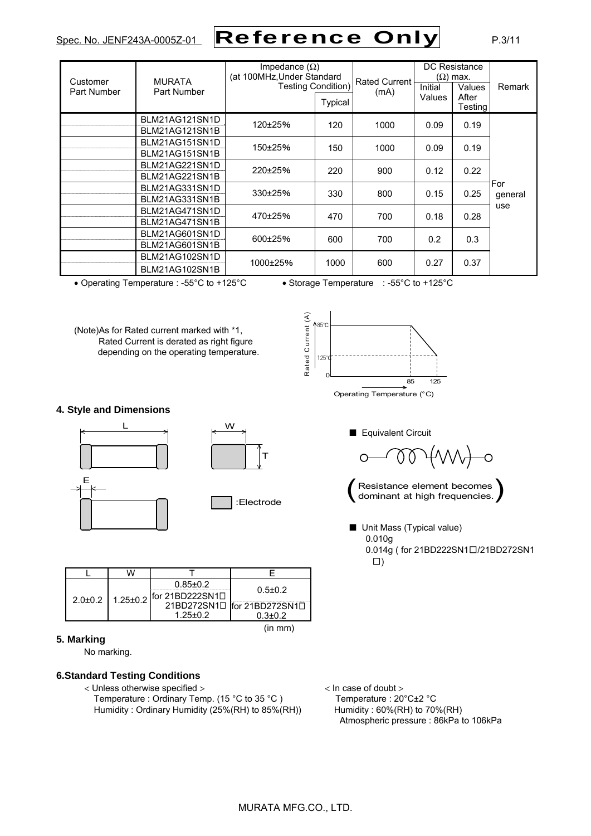# Spec. No. JENF243A-0005Z-01 Reference Only P.3/11

| Customer<br>Part Number | <b>MURATA</b><br>Part Number     | Impedance $(\Omega)$<br>(at 100MHz, Under Standard<br><b>Testing Condition)</b><br><b>Typical</b> |      | <b>Rated Current</b><br>(mA) | Initial<br>Values | DC Resistance<br>$(\Omega)$ max.<br>Values<br>After<br><b>Testing</b> | Remark         |
|-------------------------|----------------------------------|---------------------------------------------------------------------------------------------------|------|------------------------------|-------------------|-----------------------------------------------------------------------|----------------|
|                         | BLM21AG121SN1D<br>BLM21AG121SN1B | 120±25%                                                                                           | 120  | 1000                         | 0.09              | 0.19                                                                  |                |
|                         | BLM21AG151SN1D<br>BLM21AG151SN1B | 150±25%                                                                                           | 150  | 1000                         | 0.09              | 0.19                                                                  |                |
|                         | BLM21AG221SN1D<br>BLM21AG221SN1B | 220±25%                                                                                           | 220  | 900                          | 0.12              | 0.22                                                                  |                |
|                         | BLM21AG331SN1D<br>BLM21AG331SN1B | 330±25%                                                                                           | 330  | 800                          | 0.15              | 0.25                                                                  | For<br>general |
|                         | BLM21AG471SN1D<br>BLM21AG471SN1B | 470±25%                                                                                           | 470  | 700                          | 0.18              | 0.28                                                                  | use            |
|                         | BLM21AG601SN1D<br>BLM21AG601SN1B | 600±25%                                                                                           | 600  | 700                          | 0.2               | 0.3                                                                   |                |
|                         | BLM21AG102SN1D<br>BLM21AG102SN1B | 1000±25%                                                                                          | 1000 | 600                          | 0.27              | 0.37                                                                  |                |

• Operating Temperature : -55°C to +125°C • Storage Temperature : -55°C to +125°C

(Note)As for Rated current marked with \*1, Rated Current is derated as right figure depending on the operating temperature.



#### **4. Style and Dimensions**



|  | $0.85 \pm 0.2$                     | $0.5 \pm 0.2$               |  |
|--|------------------------------------|-----------------------------|--|
|  | 2.0±0.2   1.25±0.2 for 21BD222SN10 |                             |  |
|  |                                    | 21BD272SN10 for 21BD272SN10 |  |
|  | $1.25 \pm 0.2$                     | $0.3 \pm 0.2$               |  |
|  |                                    | (in mm)                     |  |

#### **5. Marking**

No marking.

# **6.Standard Testing Conditions**

< Unless otherwise specified > < In case of doubt > Temperature : Ordinary Temp. (15 °C to 35 °C ) Temperature : 20 °C ± 2 °C Humidity : Ordinary Humidity (25%(RH) to 85%(RH)) Humidity : 60%(RH) to 70%(RH)

■ Equivalent Circuit  $\circ$ 

Resistance element becomes<br>dominant at high frequencies.

■ Unit Mass (Typical value) 0.010g 0.014g ( for 21BD222SN1□/21BD272SN1 □)

Atmospheric pressure : 86kPa to 106kPa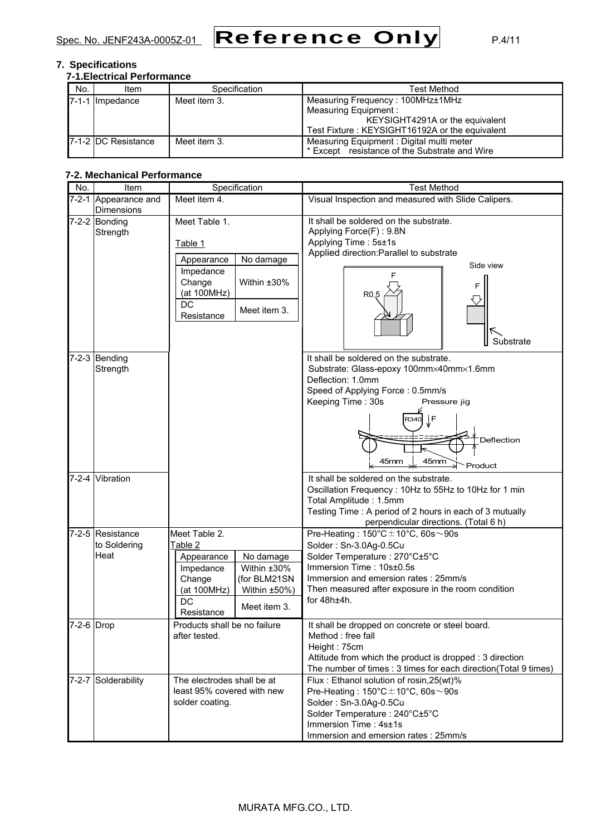

# **7. Specifications**

| <b>7-1. Electrical Performance</b> |                              |               |                                                |  |  |  |  |
|------------------------------------|------------------------------|---------------|------------------------------------------------|--|--|--|--|
| No.                                | Item                         | Specification | <b>Test Method</b>                             |  |  |  |  |
|                                    | Impedance                    | Meet item 3.  | Measuring Frequency: 100MHz±1MHz               |  |  |  |  |
|                                    |                              |               | Measuring Equipment:                           |  |  |  |  |
|                                    |                              |               | KEYSIGHT4291A or the equivalent                |  |  |  |  |
|                                    |                              |               | Test Fixture: KEYSIGHT16192A or the equivalent |  |  |  |  |
|                                    | <b>17-1-2 IDC Resistance</b> | Meet item 3.  | Measuring Equipment: Digital multi meter       |  |  |  |  |
|                                    |                              |               | * Except resistance of the Substrate and Wire  |  |  |  |  |

# **7-2. Mechanical Performance**

| No.          | Item                 | Specification                | <b>Test Method</b>                                              |  |  |
|--------------|----------------------|------------------------------|-----------------------------------------------------------------|--|--|
|              | 7-2-1 Appearance and | Meet item 4.                 | Visual Inspection and measured with Slide Calipers.             |  |  |
|              | <b>Dimensions</b>    |                              |                                                                 |  |  |
|              | $7-2-2$ Bonding      | Meet Table 1.                | It shall be soldered on the substrate.                          |  |  |
|              | Strength             |                              | Applying Force(F): 9.8N                                         |  |  |
|              |                      | Table 1                      | Applying Time: 5s±1s                                            |  |  |
|              |                      | No damage<br>Appearance      | Applied direction: Parallel to substrate                        |  |  |
|              |                      | Impedance                    | Side view                                                       |  |  |
|              |                      | Change<br>Within ±30%        |                                                                 |  |  |
|              |                      | (at 100MHz)                  | F<br>R <sub>0.5</sub>                                           |  |  |
|              |                      | DC                           |                                                                 |  |  |
|              |                      | Meet item 3.<br>Resistance   |                                                                 |  |  |
|              |                      |                              |                                                                 |  |  |
|              |                      |                              | K                                                               |  |  |
|              |                      |                              | Substrate                                                       |  |  |
|              | $7-2-3$ Bending      |                              | It shall be soldered on the substrate.                          |  |  |
|              | Strength             |                              | Substrate: Glass-epoxy 100mm×40mm×1.6mm                         |  |  |
|              |                      |                              | Deflection: 1.0mm                                               |  |  |
|              |                      |                              | Speed of Applying Force: 0.5mm/s                                |  |  |
|              |                      |                              | Keeping Time: 30s<br>Pressure jig                               |  |  |
|              |                      |                              | ∫F<br>R340                                                      |  |  |
|              |                      |                              |                                                                 |  |  |
|              |                      |                              | Deflection                                                      |  |  |
|              |                      |                              |                                                                 |  |  |
|              |                      |                              | 45mm<br>45mm<br>Product                                         |  |  |
|              | 7-2-4 Vibration      |                              | It shall be soldered on the substrate.                          |  |  |
|              |                      |                              | Oscillation Frequency: 10Hz to 55Hz to 10Hz for 1 min           |  |  |
|              |                      |                              | Total Amplitude: 1.5mm                                          |  |  |
|              |                      |                              | Testing Time: A period of 2 hours in each of 3 mutually         |  |  |
|              |                      |                              | perpendicular directions. (Total 6 h)                           |  |  |
|              | 7-2-5 Resistance     | Meet Table 2.                | Pre-Heating: $150^{\circ}$ C $\pm$ 10°C, 60s $\sim$ 90s         |  |  |
|              | to Soldering         | Table 2                      | Solder: Sn-3.0Ag-0.5Cu                                          |  |  |
|              | Heat                 | No damage<br>Appearance      | Solder Temperature: 270°C±5°C                                   |  |  |
|              |                      | Within ±30%<br>Impedance     | Immersion Time: 10s±0.5s                                        |  |  |
|              |                      | Change<br>(for BLM21SN       | Immersion and emersion rates: 25mm/s                            |  |  |
|              |                      | Within ±50%)<br>(at 100MHz)  | Then measured after exposure in the room condition              |  |  |
|              |                      | <b>DC</b>                    | for $48h±4h$ .                                                  |  |  |
|              |                      | Meet item 3.<br>Resistance   |                                                                 |  |  |
| $7-2-6$ Drop |                      | Products shall be no failure | It shall be dropped on concrete or steel board.                 |  |  |
|              |                      | after tested.                | Method : free fall                                              |  |  |
|              |                      |                              | Height: 75cm                                                    |  |  |
|              |                      |                              | Attitude from which the product is dropped : 3 direction        |  |  |
|              |                      |                              | The number of times : 3 times for each direction(Total 9 times) |  |  |
|              | 7-2-7 Solderability  | The electrodes shall be at   | Flux: Ethanol solution of rosin, 25(wt)%                        |  |  |
|              |                      | least 95% covered with new   | Pre-Heating: $150^{\circ}$ C $\pm$ 10°C, 60s $\sim$ 90s         |  |  |
|              |                      | solder coating.              | Solder: Sn-3.0Ag-0.5Cu                                          |  |  |
|              |                      |                              | Solder Temperature: 240°C±5°C                                   |  |  |
|              |                      |                              | Immersion Time: 4s±1s                                           |  |  |
|              |                      |                              | Immersion and emersion rates : 25mm/s                           |  |  |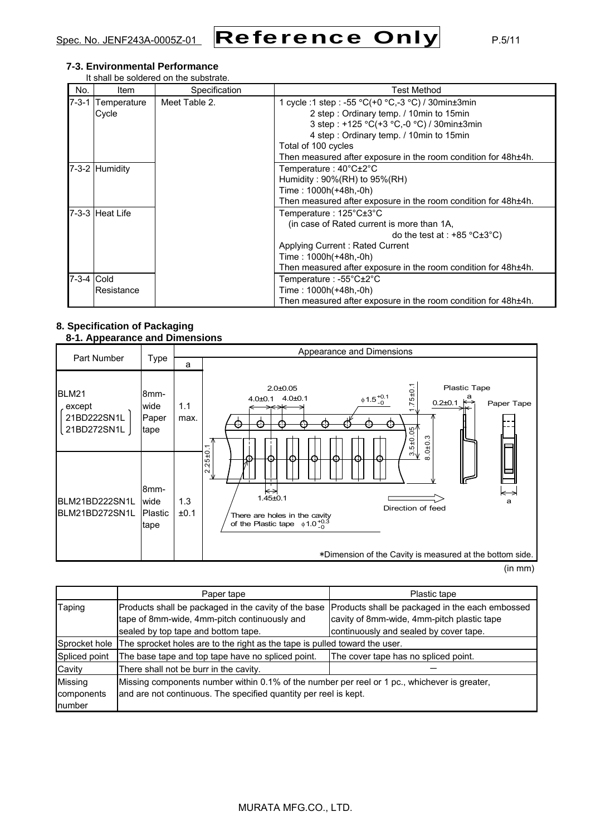

# **7-3. Environmental Performance**

It shall be soldered on the substrate.

| No.         | ltem            | Specification | Test Method                                                    |
|-------------|-----------------|---------------|----------------------------------------------------------------|
| $7 - 3 - 1$ | Temperature     | Meet Table 2. | 1 cycle :1 step : -55 °C(+0 °C,-3 °C) / 30min $\pm$ 3min       |
|             | Cycle           |               | 2 step: Ordinary temp. / 10min to 15min                        |
|             |                 |               | 3 step: +125 °C(+3 °C,-0 °C) / 30min±3min                      |
|             |                 |               | 4 step: Ordinary temp. / 10min to 15min                        |
|             |                 |               | Total of 100 cycles                                            |
|             |                 |               | Then measured after exposure in the room condition for 48h±4h. |
|             | 7-3-2 Humidity  |               | Temperature : 40°C±2°C                                         |
|             |                 |               | Humidity: $90\%(RH)$ to $95\%(RH)$                             |
|             |                 |               | Time: 1000h(+48h,-0h)                                          |
|             |                 |               | Then measured after exposure in the room condition for 48h±4h. |
|             | 7-3-3 Heat Life |               | Temperature: 125°C±3°C                                         |
|             |                 |               | (in case of Rated current is more than 1A,                     |
|             |                 |               | do the test at : $+85 \degree C \pm 3 \degree C$ )             |
|             |                 |               | Applying Current: Rated Current                                |
|             |                 |               | Time: 1000h(+48h,-0h)                                          |
|             |                 |               | Then measured after exposure in the room condition for 48h±4h. |
| 7-3-4 Cold  |                 |               | Temperature : -55°C±2°C                                        |
|             | Resistance      |               | Time : 1000h(+48h,-0h)                                         |
|             |                 |               | Then measured after exposure in the room condition for 48h±4h. |

#### **8. Specification of Packaging 8-1. Appearance and Dimensions**

|                                                      |                                          | Appearance and Dimensions |                                                                                                                                                                                                                              |  |  |  |
|------------------------------------------------------|------------------------------------------|---------------------------|------------------------------------------------------------------------------------------------------------------------------------------------------------------------------------------------------------------------------|--|--|--|
| Part Number                                          | <b>Type</b>                              | a                         |                                                                                                                                                                                                                              |  |  |  |
| <b>BLM21</b><br>except<br>21BD222SN1L<br>21BD272SN1L | 8 <sub>mm</sub><br>wide<br>Paper<br>tape | 1.1<br>max.               | Plastic Tape<br>$2.0 + 0.05$<br>$.75 \pm 0.$<br>$\phi$ 1.5 $^{+0.1}_{-0}$<br>$0.2 \pm 0.1$ $\stackrel{a}{\leftrightarrow}$<br>4.0±0.1 4.0±0.1<br>Paper Tape<br>æ<br>$.5 + 0.05$<br>0 ± 0.3                                   |  |  |  |
| BLM21BD222SN1L<br>BLM21BD272SN1L                     | 8mm-<br>wide<br>Plastic<br>tape          | 1.3<br>±0.1               | ↽.<br>$2.25 \pm 0.$<br>ຕ√<br>'⇔<br>⇤<br>$1.45 + 0.1$<br>a<br>Direction of feed<br>There are holes in the cavity<br>of the Plastic tape $\phi$ 1.0 $^{+0.3}_{-0}$<br>*Dimension of the Cavity is measured at the bottom side. |  |  |  |

(in mm)

|               | Paper tape                                                                                   | Plastic tape                                    |  |  |  |
|---------------|----------------------------------------------------------------------------------------------|-------------------------------------------------|--|--|--|
| Taping        | Products shall be packaged in the cavity of the base                                         | Products shall be packaged in the each embossed |  |  |  |
|               | tape of 8mm-wide, 4mm-pitch continuously and                                                 | cavity of 8mm-wide, 4mm-pitch plastic tape      |  |  |  |
|               | sealed by top tape and bottom tape.                                                          | continuously and sealed by cover tape.          |  |  |  |
| Sprocket hole | The sprocket holes are to the right as the tape is pulled toward the user.                   |                                                 |  |  |  |
| Spliced point | The base tape and top tape have no spliced point.                                            | The cover tape has no spliced point.            |  |  |  |
| Cavity        | There shall not be burr in the cavity.                                                       |                                                 |  |  |  |
| Missing       | Missing components number within 0.1% of the number per reel or 1 pc., whichever is greater, |                                                 |  |  |  |
| components    | and are not continuous. The specified quantity per reel is kept.                             |                                                 |  |  |  |
| number        |                                                                                              |                                                 |  |  |  |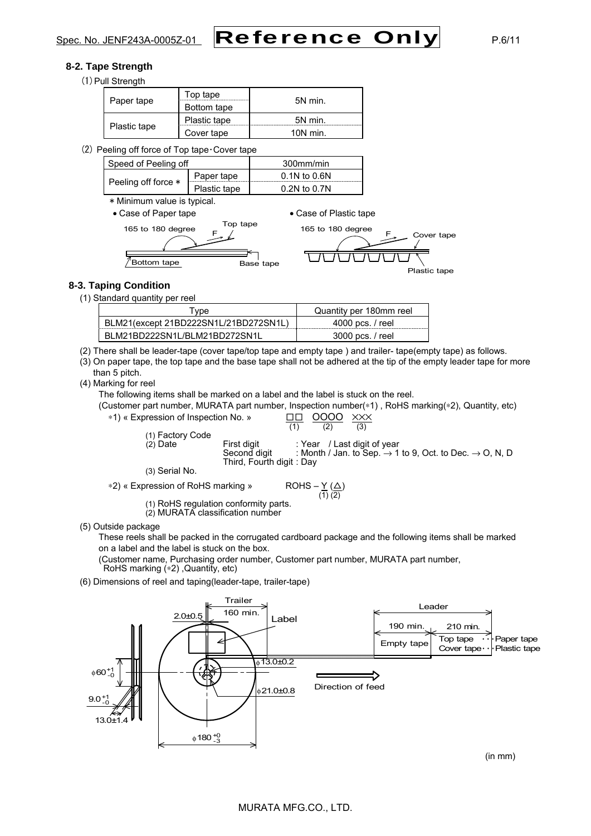#### **8-2. Tape Strength**

(1) Pull Strength

| Paper tape   | Top tape<br>Bottom tape | 5N min.    |
|--------------|-------------------------|------------|
|              | Plastic tape            | 5N min.    |
| Plastic tape | Cover tape              | $10N$ min. |

(2) Peeling off force of Top tape・Cover tape

| Speed of Peeling off |              | 300mm/min        |  |  |
|----------------------|--------------|------------------|--|--|
| Peeling off force *  | Paper tape   | $0.1N$ to $0.6N$ |  |  |
|                      | Plastic tape | $0.2N$ to $0.7N$ |  |  |
|                      |              |                  |  |  |

\* Minimum value is typical.

• Case of Paper tape • Case of Plastic tape



# **8-3. Taping Condition**

(1) Standard quantity per reel

| vpe ⊺                                 | Quantity per 180mm reel |
|---------------------------------------|-------------------------|
| BLM21(except 21BD222SN1L/21BD272SN1L) | 4000 pcs. / reel        |
| BLM21BD222SN1L/BLM21BD272SN1L         | 3000 pcs. / reel        |

(2) There shall be leader-tape (cover tape/top tape and empty tape ) and trailer- tape(empty tape) as follows.

(3) On paper tape, the top tape and the base tape shall not be adhered at the tip of the empty leader tape for more than 5 pitch.

(4) Marking for reel

The following items shall be marked on a label and the label is stuck on the reel.

(Customer part number, MURATA part number, Inspection number(∗1) , RoHS marking(∗2), Quantity, etc) ∗1) « Expression of Inspection No. » □□ OOOO ×××

| (1) Factory Code               |                                          | (1)                |                             | (3) |                                                                                 |
|--------------------------------|------------------------------------------|--------------------|-----------------------------|-----|---------------------------------------------------------------------------------|
| $(2)$ Date                     | First digit                              |                    | : Year / Last digit of year |     |                                                                                 |
|                                | Second digit<br>Third, Fourth digit: Day |                    |                             |     | : Month / Jan. to Sep. $\rightarrow$ 1 to 9, Oct. to Dec. $\rightarrow$ O, N, D |
| (3) Serial No.                 |                                          |                    |                             |     |                                                                                 |
| « Expression of RoHS marking » |                                          | $ROHS - Y(\Delta)$ | (1) (2)                     |     |                                                                                 |

∗2) « Expression of RoHS marking »

(1) RoHS regulation conformity parts.

(2) MURATA classification number

(5) Outside package

These reels shall be packed in the corrugated cardboard package and the following items shall be marked on a label and the label is stuck on the box.

(Customer name, Purchasing order number, Customer part number, MURATA part number, RoHS marking (∗2) ,Quantity, etc)

(6) Dimensions of reel and taping(leader-tape, trailer-tape)



# MURATA MFG.CO., LTD.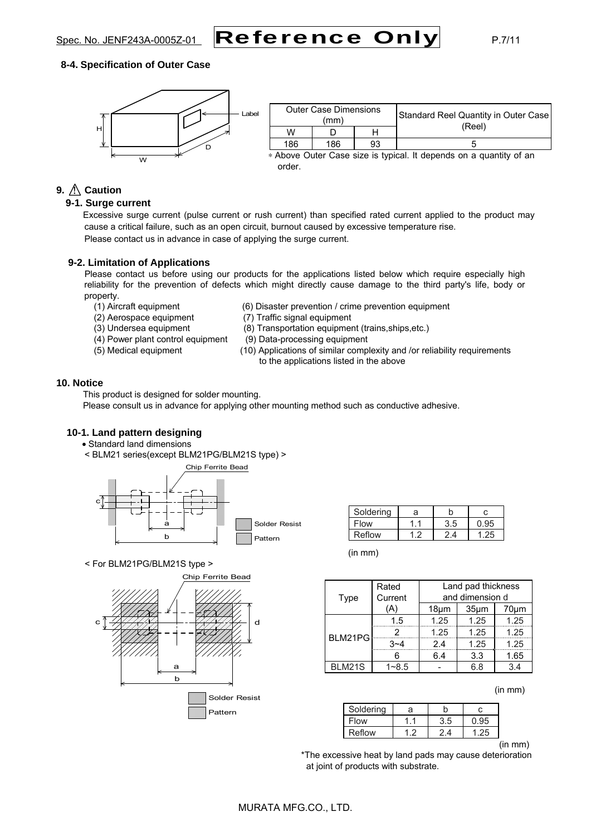

#### **8-4. Specification of Outer Case**



| <b>Outer Case Dimensions</b><br>(mm) |     |     | Standard Reel Quantity in Outer Case |        |  |
|--------------------------------------|-----|-----|--------------------------------------|--------|--|
|                                      | W   |     |                                      | (Reel) |  |
|                                      | 186 | 186 | 93                                   |        |  |
|                                      |     | .   |                                      | .      |  |

∗ Above Outer Case size is typical. It depends on a quantity of an order.

# **9.**  $\bigwedge$  **Caution**

# **9-1. Surge current**

Excessive surge current (pulse current or rush current) than specified rated current applied to the product may cause a critical failure, such as an open circuit, burnout caused by excessive temperature rise. Please contact us in advance in case of applying the surge current.

#### **9-2. Limitation of Applications**

Please contact us before using our products for the applications listed below which require especially high reliability for the prevention of defects which might directly cause damage to the third party's life, body or property.

- 
- 
- 
- (4) Power plant control equipment (9) Data-processing equipment
- 
- (1) Aircraft equipment (6) Disaster prevention / crime prevention equipment
- (2) Aerospace equipment (7) Traffic signal equipment
- (3) Undersea equipment (8) Transportation equipment (trains,ships,etc.)
	-
- (5) Medical equipment (10) Applications of similar complexity and /or reliability requirements to the applications listed in the above

#### **10. Notice**

This product is designed for solder mounting.

Please consult us in advance for applying other mounting method such as conductive adhesive.

#### **10-1. Land pattern designing**

- Standard land dimensions
- < BLM21 series(except BLM21PG/BLM21S type) >



Soldering a b c Flow | 1.1 | 3.5 | 0.95 Reflow 1.2 2.4 1.25

(in mm)

**Rated** 

|  | < For BLM21PG/BLM21S type > |  |
|--|-----------------------------|--|
|  |                             |  |



| Type    | Current   |            |                   | and dimension d |  |
|---------|-----------|------------|-------------------|-----------------|--|
|         | (A)       | $18 \mu m$ | 35 <sub>µ</sub> m | 70µm            |  |
|         | 1.5       | 1.25       | 1.25              | 1.25            |  |
| BLM21PG |           | 1.25       | 1.25              | 1.25            |  |
|         | $3 - 4$   | 2.4        | 1.25              | 1.25            |  |
|         | հ         | 6.4        | 3.3               | 1.65            |  |
| BLM21S  | $1 - 8.5$ |            | 6.8               | 3.4             |  |
|         |           |            |                   |                 |  |

(in mm)

Land pad thickness

| Soldering | а |     |  |
|-----------|---|-----|--|
| Flow      |   | 5.ر |  |
| Reflow    |   |     |  |

(in mm)

 \*The excessive heat by land pads may cause deterioration at joint of products with substrate.

# MURATA MFG.CO., LTD.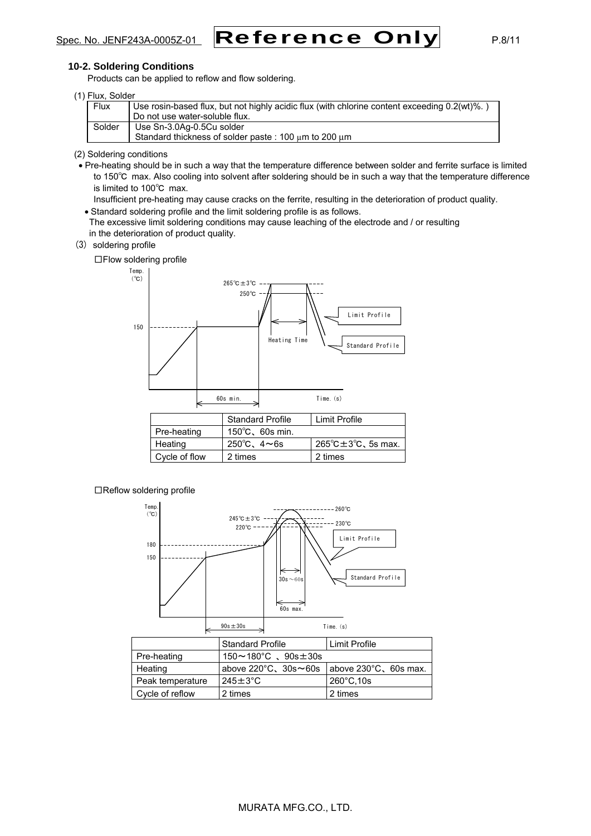# Spec. No. JENF243A-0005Z-01 Reference Only P.8/11

#### **10-2. Soldering Conditions**

Products can be applied to reflow and flow soldering.

| (1) Flux, Solder |                                                                                              |
|------------------|----------------------------------------------------------------------------------------------|
| <b>Flux</b>      | Use rosin-based flux, but not highly acidic flux (with chlorine content exceeding 0.2(wt)%.) |
|                  | Do not use water-soluble flux.                                                               |
| Solder           | Use Sn-3.0Ag-0.5Cu solder                                                                    |
|                  | Standard thickness of solder paste: 100 $\mu$ m to 200 $\mu$ m                               |

(2) Soldering conditions

• Pre-heating should be in such a way that the temperature difference between solder and ferrite surface is limited to 150℃ max. Also cooling into solvent after soldering should be in such a way that the temperature difference is limited to 100℃ max.

Insufficient pre-heating may cause cracks on the ferrite, resulting in the deterioration of product quality.

- Standard soldering profile and the limit soldering profile is as follows.
- The excessive limit soldering conditions may cause leaching of the electrode and / or resulting in the deterioration of product quality.
- (3) soldering profile

□Flow soldering profile



□Reflow soldering profile



|                  | <b>Standard Profile</b>                                               | Limit Profile        |
|------------------|-----------------------------------------------------------------------|----------------------|
| Pre-heating      | $150 \sim 180^{\circ}$ C. $90s \pm 30s$                               |                      |
| Heating          | above $220^{\circ}$ C, $30s \sim 60s$ above $230^{\circ}$ C, 60s max. |                      |
| Peak temperature | $245 \pm 3^{\circ}$ C                                                 | $260^{\circ}$ C, 10s |
| Cycle of reflow  | 2 times                                                               | 2 times              |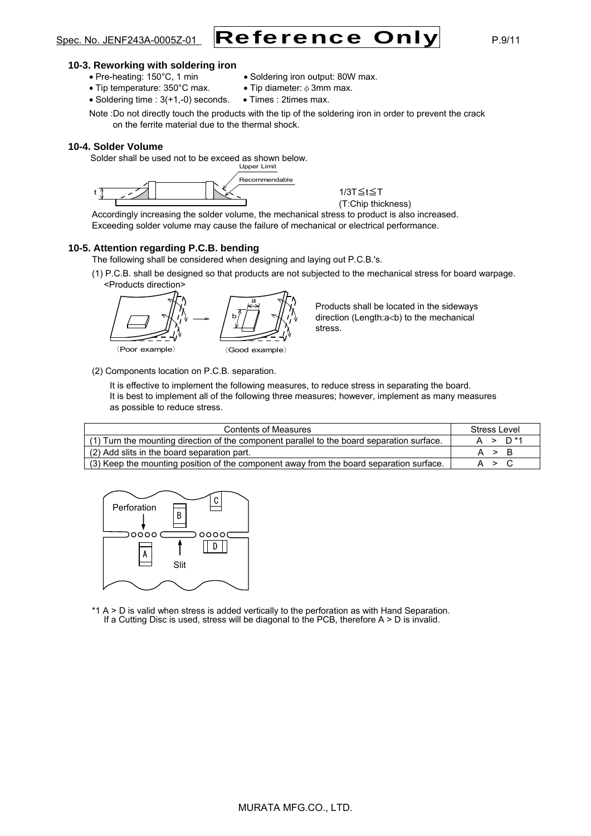

#### **10-3. Reworking with soldering iron**

- Pre-heating: 150°C, 1 min Soldering iron output: 80W max.
	-
- Tip temperature:  $350^{\circ}$ C max. Tip diameter:  $\phi$  3mm max.
- Soldering time : 3(+1,-0) seconds. Times : 2times max.

Note :Do not directly touch the products with the tip of the soldering iron in order to prevent the crack on the ferrite material due to the thermal shock.

#### **10-4. Solder Volume**

Solder shall be used not to be exceed as shown below.



1/3T≦t≦T (T:Chip thickness)

Accordingly increasing the solder volume, the mechanical stress to product is also increased. Exceeding solder volume may cause the failure of mechanical or electrical performance.

#### **10-5. Attention regarding P.C.B. bending**

The following shall be considered when designing and laying out P.C.B.'s.

(1) P.C.B. shall be designed so that products are not subjected to the mechanical stress for board warpage. <Products direction>



Products shall be located in the sideways direction (Length:a<br/>>b) to the mechanical stress.

(2) Components location on P.C.B. separation.

It is effective to implement the following measures, to reduce stress in separating the board. It is best to implement all of the following three measures; however, implement as many measures as possible to reduce stress.

| <b>Contents of Measures</b>                                                                | Stress Level        |
|--------------------------------------------------------------------------------------------|---------------------|
| (1) Turn the mounting direction of the component parallel to the board separation surface. | A > D <sup>*1</sup> |
| (2) Add slits in the board separation part.                                                | A > B               |
| (3) Keep the mounting position of the component away from the board separation surface.    | A > C               |



\*1 A > D is valid when stress is added vertically to the perforation as with Hand Separation. If a Cutting Disc is used, stress will be diagonal to the PCB, therefore  $A > D$  is invalid.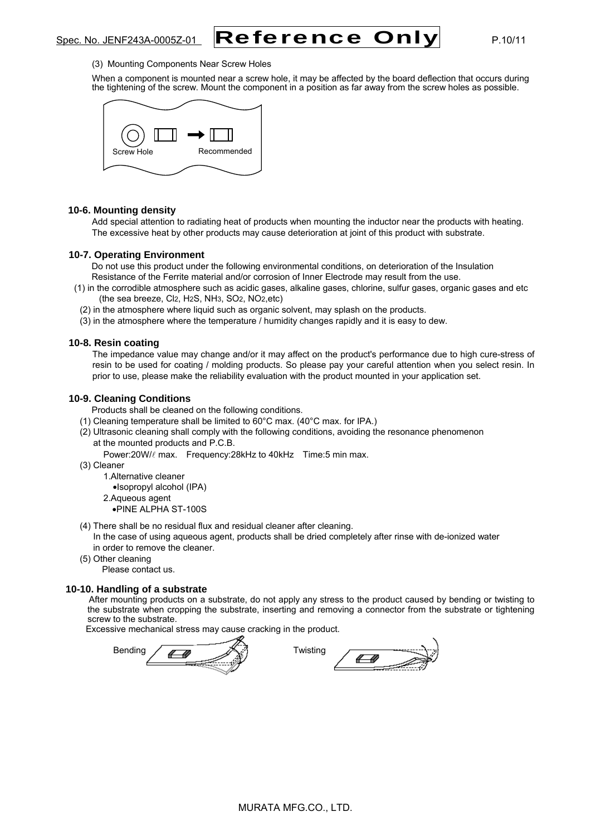

#### (3) Mounting Components Near Screw Holes

When a component is mounted near a screw hole, it may be affected by the board deflection that occurs during the tightening of the screw. Mount the component in a position as far away from the screw holes as possible.



#### **10-6. Mounting density**

Add special attention to radiating heat of products when mounting the inductor near the products with heating. The excessive heat by other products may cause deterioration at joint of this product with substrate.

#### **10-7. Operating Environment**

Do not use this product under the following environmental conditions, on deterioration of the Insulation Resistance of the Ferrite material and/or corrosion of Inner Electrode may result from the use.

- (1) in the corrodible atmosphere such as acidic gases, alkaline gases, chlorine, sulfur gases, organic gases and etc (the sea breeze, Cl2, H2S, NH3, SO2, NO2,etc)
	- (2) in the atmosphere where liquid such as organic solvent, may splash on the products.
	- (3) in the atmosphere where the temperature / humidity changes rapidly and it is easy to dew.

#### **10-8. Resin coating**

The impedance value may change and/or it may affect on the product's performance due to high cure-stress of resin to be used for coating / molding products. So please pay your careful attention when you select resin. In prior to use, please make the reliability evaluation with the product mounted in your application set.

#### **10-9. Cleaning Conditions**

Products shall be cleaned on the following conditions.

- (1) Cleaning temperature shall be limited to 60°C max. (40°C max. for IPA.)
- (2) Ultrasonic cleaning shall comply with the following conditions, avoiding the resonance phenomenon at the mounted products and P.C.B.
	- Power:20W/ $\ell$  max. Frequency:28kHz to 40kHz Time:5 min max.
- (3) Cleaner
	- 1.Alternative cleaner
	- •Isopropyl alcohol (IPA)
	- 2.Aqueous agent
		- •PINE ALPHA ST-100S
- (4) There shall be no residual flux and residual cleaner after cleaning.

 In the case of using aqueous agent, products shall be dried completely after rinse with de-ionized water in order to remove the cleaner.

(5) Other cleaning

Please contact us.

#### **10-10. Handling of a substrate**

After mounting products on a substrate, do not apply any stress to the product caused by bending or twisting to the substrate when cropping the substrate, inserting and removing a connector from the substrate or tightening screw to the substrate.

Excessive mechanical stress may cause cracking in the product.

| $\cdots$<br>æ | W١ |
|---------------|----|
|---------------|----|